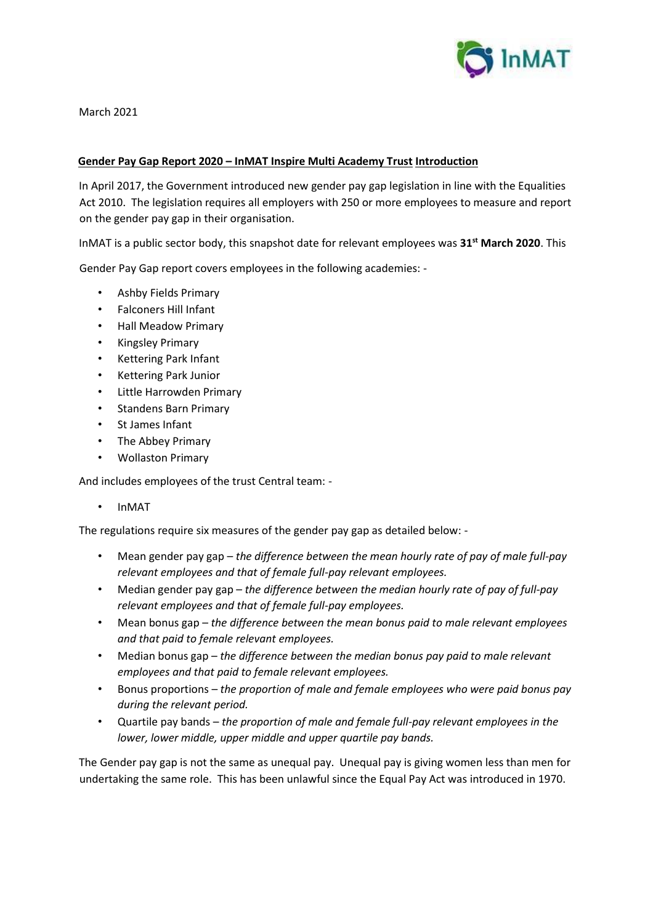

March 2021

## **Gender Pay Gap Report 2020 – InMAT Inspire Multi Academy Trust Introduction**

In April 2017, the Government introduced new gender pay gap legislation in line with the Equalities Act 2010. The legislation requires all employers with 250 or more employees to measure and report on the gender pay gap in their organisation.

InMAT is a public sector body, this snapshot date for relevant employees was **31st March 2020**. This

Gender Pay Gap report covers employees in the following academies: -

- Ashby Fields Primary
- Falconers Hill Infant
- Hall Meadow Primary
- Kingsley Primary
- Kettering Park Infant
- Kettering Park Junior
- Little Harrowden Primary
- Standens Barn Primary
- St James Infant
- The Abbey Primary
- Wollaston Primary

And includes employees of the trust Central team: -

• InMAT

The regulations require six measures of the gender pay gap as detailed below: -

- Mean gender pay gap *the difference between the mean hourly rate of pay of male full-pay relevant employees and that of female full-pay relevant employees.*
- Median gender pay gap *the difference between the median hourly rate of pay of full-pay relevant employees and that of female full-pay employees.*
- Mean bonus gap *the difference between the mean bonus paid to male relevant employees and that paid to female relevant employees.*
- Median bonus gap *the difference between the median bonus pay paid to male relevant employees and that paid to female relevant employees.*
- Bonus proportions *the proportion of male and female employees who were paid bonus pay during the relevant period.*
- Quartile pay bands *the proportion of male and female full-pay relevant employees in the lower, lower middle, upper middle and upper quartile pay bands.*

The Gender pay gap is not the same as unequal pay. Unequal pay is giving women less than men for undertaking the same role. This has been unlawful since the Equal Pay Act was introduced in 1970.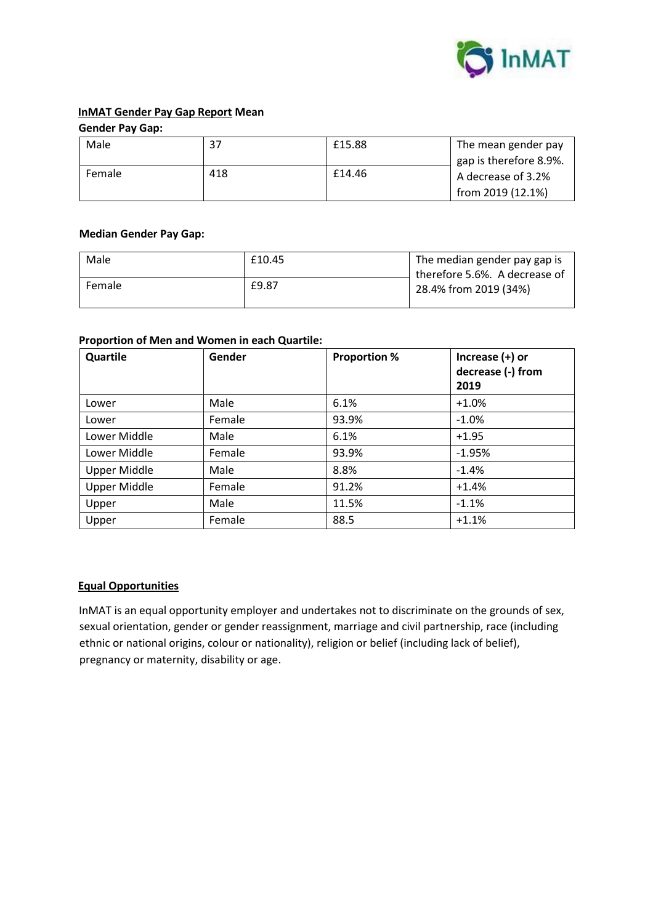

# **InMAT Gender Pay Gap Report Mean**

**Gender Pay Gap:** 

| Male   | 37  | £15.88 | The mean gender pay<br>gap is therefore 8.9%.<br>A decrease of 3.2%<br>from 2019 (12.1%) |
|--------|-----|--------|------------------------------------------------------------------------------------------|
| Female | 418 | £14.46 |                                                                                          |

### **Median Gender Pay Gap:**

| Male   | £10.45 | The median gender pay gap is<br>therefore 5.6%. A decrease of<br>28.4% from 2019 (34%) |
|--------|--------|----------------------------------------------------------------------------------------|
| Female | £9.87  |                                                                                        |

#### **Proportion of Men and Women in each Quartile:**

| Quartile            | Gender | <b>Proportion %</b> | Increase $(+)$ or<br>decrease (-) from<br>2019 |
|---------------------|--------|---------------------|------------------------------------------------|
| Lower               | Male   | 6.1%                | $+1.0%$                                        |
| Lower               | Female | 93.9%               | $-1.0%$                                        |
| Lower Middle        | Male   | 6.1%                | $+1.95$                                        |
| Lower Middle        | Female | 93.9%               | $-1.95%$                                       |
| <b>Upper Middle</b> | Male   | 8.8%                | $-1.4%$                                        |
| <b>Upper Middle</b> | Female | 91.2%               | $+1.4%$                                        |
| Upper               | Male   | 11.5%               | $-1.1%$                                        |
| Upper               | Female | 88.5                | $+1.1%$                                        |

## **Equal Opportunities**

InMAT is an equal opportunity employer and undertakes not to discriminate on the grounds of sex, sexual orientation, gender or gender reassignment, marriage and civil partnership, race (including ethnic or national origins, colour or nationality), religion or belief (including lack of belief), pregnancy or maternity, disability or age.